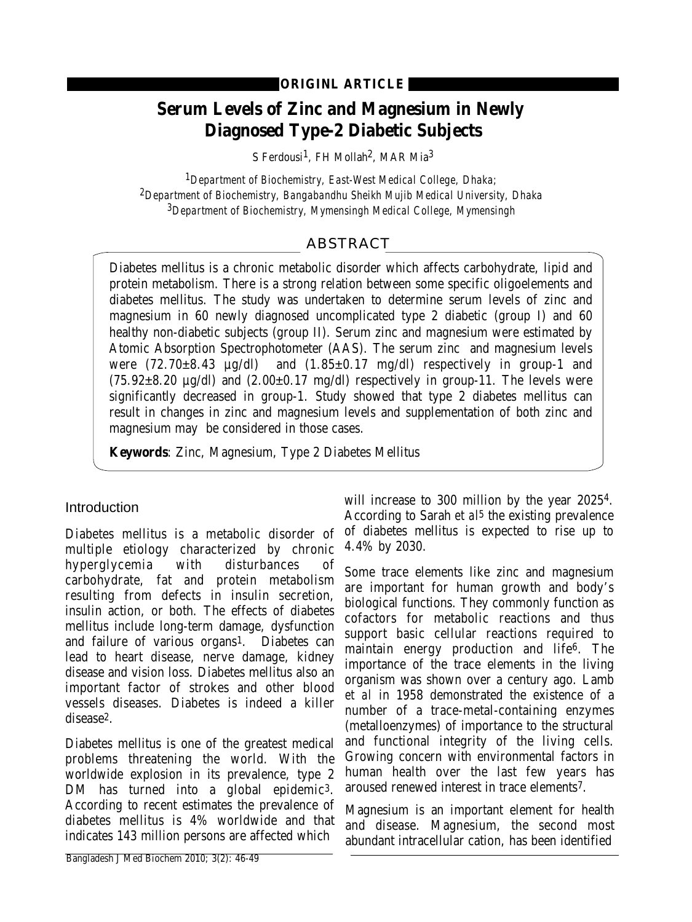# **Serum Levels of Zinc and Magnesium in Newly Diagnosed Type-2 Diabetic Subjects**

S Ferdousi<sup>1</sup>, FH Mollah<sup>2</sup>, MAR Mia<sup>3</sup>

*1Department of Biochemistry, East-West Medical College, Dhaka; 2Department of Biochemistry, Bangabandhu Sheikh Mujib Medical University, Dhaka 3Department of Biochemistry, Mymensingh Medical College, Mymensingh* 

## ABSTRACT

Diabetes mellitus is a chronic metabolic disorder which affects carbohydrate, lipid and protein metabolism. There is a strong relation between some specific oligoelements and diabetes mellitus. The study was undertaken to determine serum levels of zinc and magnesium in 60 newly diagnosed uncomplicated type 2 diabetic (group I) and 60 healthy non-diabetic subjects (group II). Serum zinc and magnesium were estimated by Atomic Absorption Spectrophotometer (AAS). The serum zinc and magnesium levels were  $(72.70\pm8.43 \text{ }\mu\text{g/d})$  and  $(1.85\pm0.17 \text{ }\text{mg/d})$  respectively in group-1 and and  $(1.85\pm0.17 \text{ mg/dl})$  respectively in group-1 and  $(75.92\pm8.20 \text{ µg/dl})$  and  $(2.00\pm0.17 \text{ mg/dl})$  respectively in group-11. The levels were significantly decreased in group-1. Study showed that type 2 diabetes mellitus can result in changes in zinc and magnesium levels and supplementation of both zinc and magnesium may be considered in those cases.

**Keywords**: Zinc, Magnesium, Type 2 Diabetes Mellitus

## **Introduction**

Diabetes mellitus is a metabolic disorder of multiple etiology characterized by chronic hyperglycemia with disturbances of carbohydrate, fat and protein metabolism resulting from defects in insulin secretion, insulin action, or both. The effects of diabetes mellitus include long-term damage, dysfunction and failure of various organs1. Diabetes can lead to heart disease, nerve damage, kidney disease and vision loss. Diabetes mellitus also an important factor of strokes and other blood vessels diseases. Diabetes is indeed a killer disease2.

Diabetes mellitus is one of the greatest medical problems threatening the world. With the worldwide explosion in its prevalence, type 2 DM has turned into a global epidemic<sup>3</sup>. According to recent estimates the prevalence of diabetes mellitus is 4% worldwide and that indicates 143 million persons are affected which

will increase to 300 million by the year 20254. According to Sarah *et al*5 the existing prevalence of diabetes mellitus is expected to rise up to 4.4% by 2030.

Some trace elements like zinc and magnesium are important for human growth and body's biological functions. They commonly function as cofactors for metabolic reactions and thus support basic cellular reactions required to maintain energy production and life6. The importance of the trace elements in the living organism was shown over a century ago. Lamb *et al* in 1958 demonstrated the existence of a number of a trace-metal-containing enzymes (metalloenzymes) of importance to the structural and functional integrity of the living cells. Growing concern with environmental factors in human health over the last few years has aroused renewed interest in trace elements7.

Magnesium is an important element for health and disease. Magnesium, the second most abundant intracellular cation, has been identified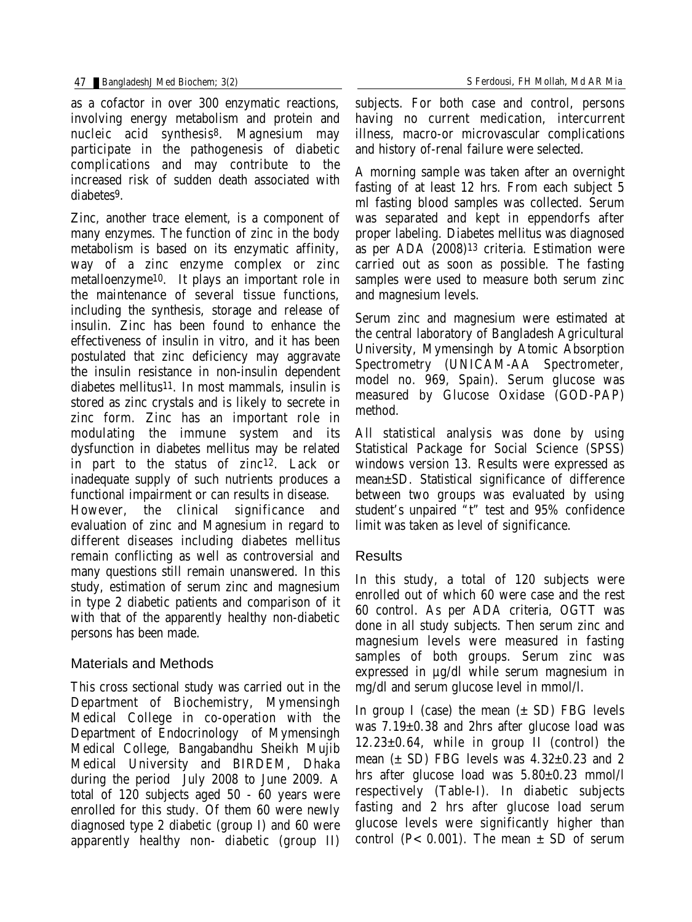as a cofactor in over 300 enzymatic reactions, involving energy metabolism and protein and nucleic acid synthesis8. Magnesium may participate in the pathogenesis of diabetic complications and may contribute to the increased risk of sudden death associated with diabetes9.

Zinc, another trace element, is a component of many enzymes. The function of zinc in the body metabolism is based on its enzymatic affinity, way of a zinc enzyme complex or zinc metalloenzyme10. It plays an important role in the maintenance of several tissue functions, including the synthesis, storage and release of insulin. Zinc has been found to enhance the effectiveness of insulin in vitro, and it has been postulated that zinc deficiency may aggravate the insulin resistance in non-insulin dependent diabetes mellitus11. In most mammals, insulin is stored as zinc crystals and is likely to secrete in zinc form. Zinc has an important role in modulating the immune system and its dysfunction in diabetes mellitus may be related in part to the status of zinc12. Lack or inadequate supply of such nutrients produces a functional impairment or can results in disease. However, the clinical significance and evaluation of zinc and Magnesium in regard to

different diseases including diabetes mellitus remain conflicting as well as controversial and many questions still remain unanswered. In this study, estimation of serum zinc and magnesium in type 2 diabetic patients and comparison of it with that of the apparently healthy non-diabetic persons has been made.

## Materials and Methods

This cross sectional study was carried out in the Department of Biochemistry, Mymensingh Medical College in co-operation with the Department of Endocrinology of Mymensingh Medical College, Bangabandhu Sheikh Mujib Medical University and BIRDEM, Dhaka during the period July 2008 to June 2009. A total of 120 subjects aged 50 - 60 years were enrolled for this study. Of them 60 were newly diagnosed type 2 diabetic (group I) and 60 were apparently healthy non- diabetic (group II) subjects. For both case and control, persons

having no current medication, intercurrent illness, macro-or microvascular complications and history of-renal failure were selected.

A morning sample was taken after an overnight fasting of at least 12 hrs. From each subject 5 ml fasting blood samples was collected. Serum was separated and kept in eppendorfs after proper labeling. Diabetes mellitus was diagnosed as per ADA (2008)13 criteria. Estimation were carried out as soon as possible. The fasting samples were used to measure both serum zinc and magnesium levels.

Serum zinc and magnesium were estimated at the central laboratory of Bangladesh Agricultural University, Mymensingh by Atomic Absorption Spectrometry (UNICAM-AA Spectrometer, model no. 969, Spain). Serum glucose was measured by Glucose Oxidase (GOD-PAP) method.

All statistical analysis was done by using Statistical Package for Social Science (SPSS) windows version 13. Results were expressed as mean±SD. Statistical significance of difference between two groups was evaluated by using student's unpaired "t" test and 95% confidence limit was taken as level of significance.

## Results

In this study, a total of 120 subjects were enrolled out of which 60 were case and the rest 60 control. As per ADA criteria, OGTT was done in all study subjects. Then serum zinc and magnesium levels were measured in fasting samples of both groups. Serum zinc was expressed in µg/dl while serum magnesium in mg/dl and serum glucose level in mmol/l.

In group I (case) the mean  $(\pm SD)$  FBG levels was 7.19±0.38 and 2hrs after glucose load was 12.23±0.64, while in group II (control) the mean  $(\pm SD)$  FBG levels was  $4.32\pm0.23$  and 2 hrs after glucose load was 5.80±0.23 mmol/l respectively (Table-I). In diabetic subjects fasting and 2 hrs after glucose load serum glucose levels were significantly higher than control ( $P < 0.001$ ). The mean  $\pm$  SD of serum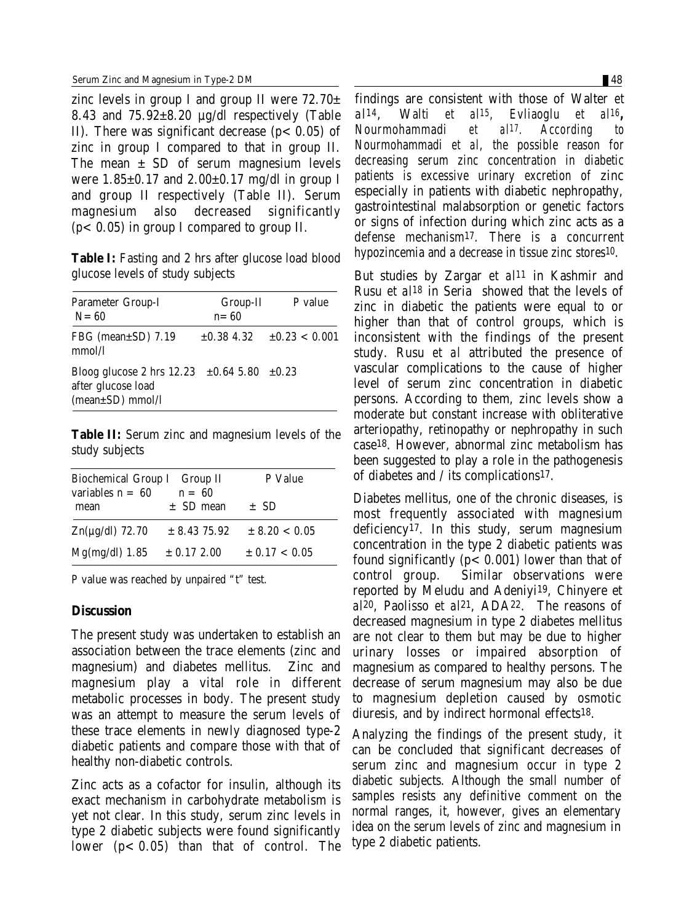zinc levels in group I and group II were  $72.70\pm$ 8.43 and 75.92±8.20 µg/dl respectively (Table II). There was significant decrease  $(p < 0.05)$  of zinc in group I compared to that in group II. The mean  $\pm$  SD of serum magnesium levels were  $1.85\pm0.17$  and  $2.00\pm0.17$  mg/dl in group I and group II respectively (Table II). Serum magnesium also decreased significantly  $(p<0.05)$  in group I compared to group II.

**Table I:** Fasting and 2 hrs after glucose load blood glucose levels of study subjects

| <b>Parameter Group-I</b><br>$N = 60$                                                                         | Group-II<br>$n = 60$ | P value                            |
|--------------------------------------------------------------------------------------------------------------|----------------------|------------------------------------|
| FBG (mean $\pm$ SD) 7.19<br>mmol/l                                                                           |                      | $\pm 0.38$ 4.32 $\pm 0.23$ < 0.001 |
| Bloog glucose 2 hrs $12.23 \pm 0.64$ 5.80 $\pm 0.23$<br>after glucose load<br>$(mean \pm SD) \text{ mmol/l}$ |                      |                                    |

**Table II:** Serum zinc and magnesium levels of the study subjects

| <b>Biochemical Group I Group II</b><br>variables $n = 60$<br>$\mathbf{n} = 60$ |                  | <b>P</b> Value    |
|--------------------------------------------------------------------------------|------------------|-------------------|
| mean                                                                           | $\pm$ SD mean    | $\pm$ SD          |
| $Zn(\mu g/dl)$ 72.70                                                           | $\pm$ 8.43 75.92 | $\pm 8.20 < 0.05$ |
| $Mg(mg/dl)$ 1.85                                                               | $\pm$ 0.17 2.00  | $\pm 0.17 < 0.05$ |

P value was reached by unpaired "t" test.

#### **Discussion**

The present study was undertaken to establish an association between the trace elements (zinc and magnesium) and diabetes mellitus. Zinc and magnesium play a vital role in different metabolic processes in body. The present study was an attempt to measure the serum levels of these trace elements in newly diagnosed type-2 diabetic patients and compare those with that of healthy non-diabetic controls.

Zinc acts as a cofactor for insulin, although its exact mechanism in carbohydrate metabolism is yet not clear. In this study, serum zinc levels in type 2 diabetic subjects were found significantly lower  $(p<0.05)$  than that of control. The findings are consistent with those of Walter *et al14*, Walti *et al15*, Evliaoglu *et al16***,** Nourmohammadi *et al17.* According to Nourmohammadi *et al*, the possible reason for decreasing serum zinc concentration in diabetic patients is excessive urinary excretion of zinc especially in patients with diabetic nephropathy, gastrointestinal malabsorption or genetic factors or signs of infection during which zinc acts as a defense mechanism17. There is a concurrent hypozincemia and a decrease in tissue zinc stores10.

But studies by Zargar *et al11* in Kashmir and Rusu *et al18* in Seria showed that the levels of zinc in diabetic the patients were equal to or higher than that of control groups, which is inconsistent with the findings of the present study. Rusu *et al* attributed the presence of vascular complications to the cause of higher level of serum zinc concentration in diabetic persons. According to them, zinc levels show a moderate but constant increase with obliterative arteriopathy, retinopathy or nephropathy in such case18. However, abnormal zinc metabolism has been suggested to play a role in the pathogenesis of diabetes and / its complications17.

Diabetes mellitus, one of the chronic diseases, is most frequently associated with magnesium deficiency17. In this study, serum magnesium concentration in the type 2 diabetic patients was found significantly ( $p < 0.001$ ) lower than that of control group. Similar observations were reported by Meludu and Adeniyi19, Chinyere et *al*20, Paolisso *et al*21, ADA22. The reasons of decreased magnesium in type 2 diabetes mellitus are not clear to them but may be due to higher urinary losses or impaired absorption of magnesium as compared to healthy persons. The decrease of serum magnesium may also be due to magnesium depletion caused by osmotic diuresis, and by indirect hormonal effects18.

Analyzing the findings of the present study, it can be concluded that significant decreases of serum zinc and magnesium occur in type 2 diabetic subjects. Although the small number of samples resists any definitive comment on the normal ranges, it, however, gives an elementary idea on the serum levels of zinc and magnesium in type 2 diabetic patients.